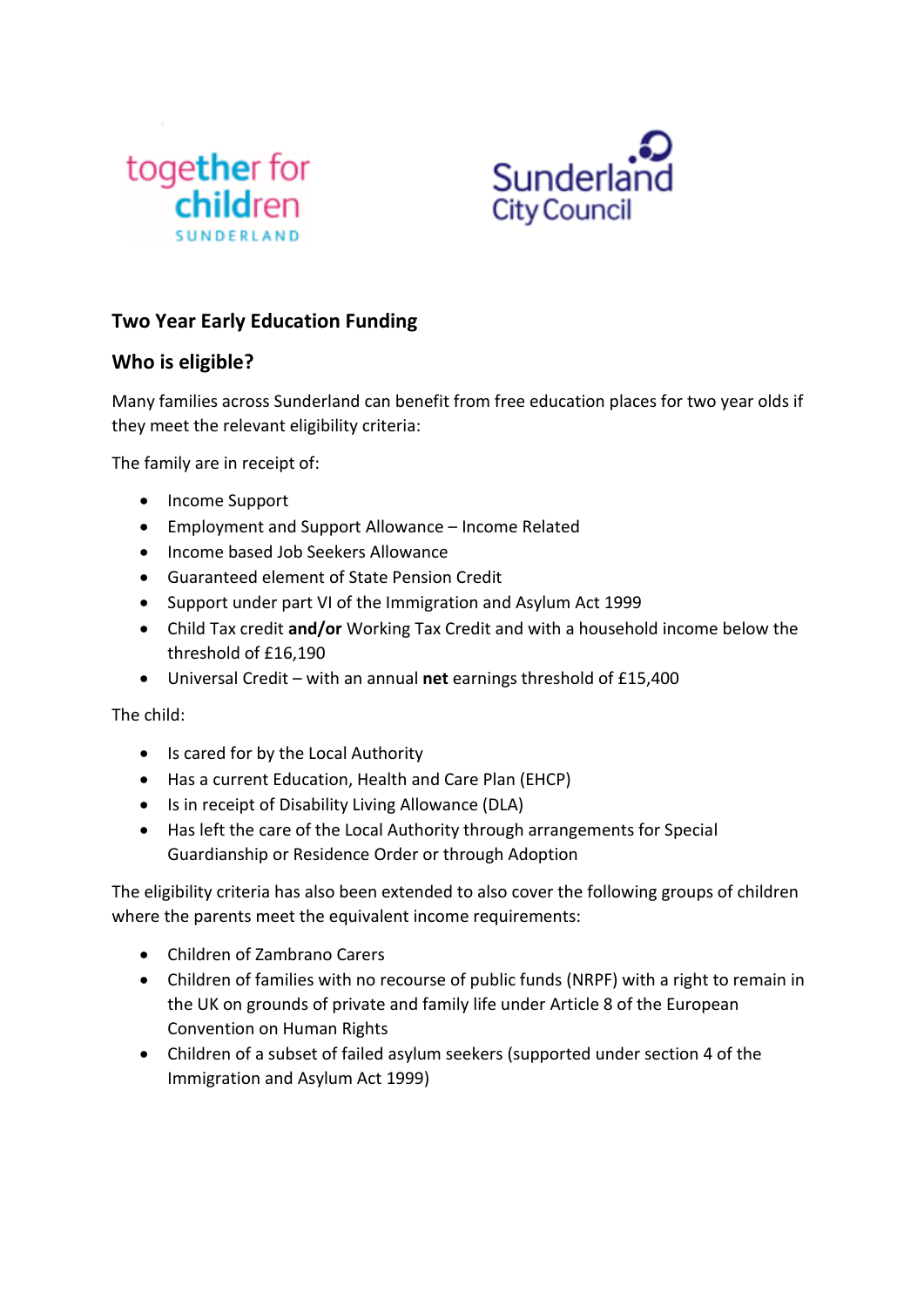



## **Two Year Early Education Funding**

## **Who is eligible?**

Many families across Sunderland can benefit from free education places for two year olds if they meet the relevant eligibility criteria:

The family are in receipt of:

- Income Support
- Employment and Support Allowance Income Related
- Income based Job Seekers Allowance
- Guaranteed element of State Pension Credit
- Support under part VI of the Immigration and Asylum Act 1999
- Child Tax credit **and/or** Working Tax Credit and with a household income below the threshold of £16,190
- Universal Credit with an annual **net** earnings threshold of £15,400

The child:

- Is cared for by the Local Authority
- Has a current Education, Health and Care Plan (EHCP)
- Is in receipt of Disability Living Allowance (DLA)
- Has left the care of the Local Authority through arrangements for Special Guardianship or Residence Order or through Adoption

The eligibility criteria has also been extended to also cover the following groups of children where the parents meet the equivalent income requirements:

- Children of Zambrano Carers
- Children of families with no recourse of public funds (NRPF) with a right to remain in the UK on grounds of private and family life under Article 8 of the European Convention on Human Rights
- Children of a subset of failed asylum seekers (supported under section 4 of the Immigration and Asylum Act 1999)